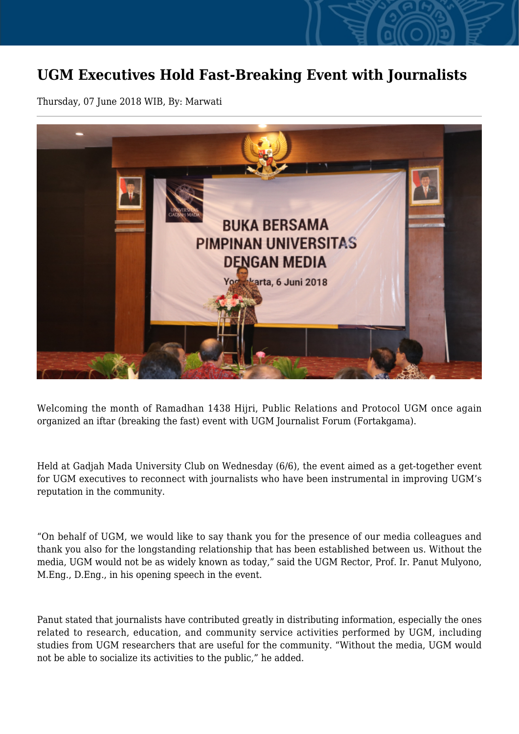## **UGM Executives Hold Fast-Breaking Event with Journalists**

Thursday, 07 June 2018 WIB, By: Marwati



Welcoming the month of Ramadhan 1438 Hijri, Public Relations and Protocol UGM once again organized an iftar (breaking the fast) event with UGM Journalist Forum (Fortakgama).

Held at Gadjah Mada University Club on Wednesday (6/6), the event aimed as a get-together event for UGM executives to reconnect with journalists who have been instrumental in improving UGM's reputation in the community.

"On behalf of UGM, we would like to say thank you for the presence of our media colleagues and thank you also for the longstanding relationship that has been established between us. Without the media, UGM would not be as widely known as today," said the UGM Rector, Prof. Ir. Panut Mulyono, M.Eng., D.Eng., in his opening speech in the event.

Panut stated that journalists have contributed greatly in distributing information, especially the ones related to research, education, and community service activities performed by UGM, including studies from UGM researchers that are useful for the community. "Without the media, UGM would not be able to socialize its activities to the public," he added.